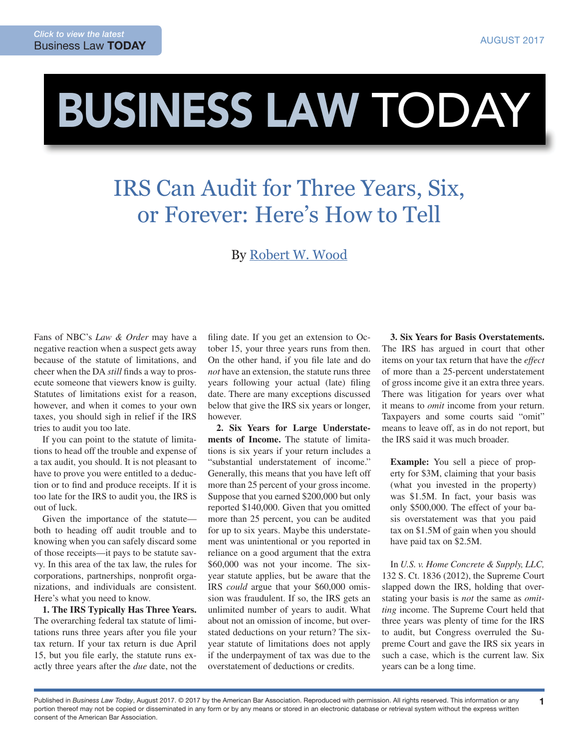## BUSINESS LAW TODAY

## IRS Can Audit for Three Years, Six, or Forever: Here's How to Tell

## By [Robert W. Wood](http://www.woodllp.com/Attorneys/rwwbio.htm)

Fans of NBC's *Law & Order* may have a negative reaction when a suspect gets away because of the statute of limitations, and cheer when the DA *still* finds a way to prosecute someone that viewers know is guilty. Statutes of limitations exist for a reason, however, and when it comes to your own taxes, you should sigh in relief if the IRS tries to audit you too late.

If you can point to the statute of limitations to head off the trouble and expense of a tax audit, you should. It is not pleasant to have to prove you were entitled to a deduction or to find and produce receipts. If it is too late for the IRS to audit you, the IRS is out of luck.

Given the importance of the statute both to heading off audit trouble and to knowing when you can safely discard some of those receipts—it pays to be statute savvy. In this area of the tax law, the rules for corporations, partnerships, nonprofit organizations, and individuals are consistent. Here's what you need to know.

**1. The IRS Typically Has Three Years.** The overarching federal tax statute of limitations runs three years after you file your tax return. If your tax return is due April 15, but you file early, the statute runs exactly three years after the *due* date, not the

filing date. If you get an extension to October 15, your three years runs from then. On the other hand, if you file late and do *not* have an extension, the statute runs three years following your actual (late) filing date. There are many exceptions discussed below that give the IRS six years or longer, however.

**2. Six Years for Large Understatements of Income.** The statute of limitations is six years if your return includes a "substantial understatement of income." Generally, this means that you have left off more than 25 percent of your gross income. Suppose that you earned \$200,000 but only reported \$140,000. Given that you omitted more than 25 percent, you can be audited for up to six years. Maybe this understatement was unintentional or you reported in reliance on a good argument that the extra \$60,000 was not your income. The sixyear statute applies, but be aware that the IRS *could* argue that your \$60,000 omission was fraudulent. If so, the IRS gets an unlimited number of years to audit. What about not an omission of income, but overstated deductions on your return? The sixyear statute of limitations does not apply if the underpayment of tax was due to the overstatement of deductions or credits.

**3. Six Years for Basis Overstatements.** The IRS has argued in court that other items on your tax return that have the *effect*  of more than a 25-percent understatement of gross income give it an extra three years. There was litigation for years over what it means to *omit* income from your return. Taxpayers and some courts said "omit" means to leave off, as in do not report, but the IRS said it was much broader.

**Example:** You sell a piece of property for \$3M, claiming that your basis (what you invested in the property) was \$1.5M. In fact, your basis was only \$500,000. The effect of your basis overstatement was that you paid tax on \$1.5M of gain when you should have paid tax on \$2.5M.

In *U.S. v. Home Concrete & Supply, LLC,* 132 S. Ct. 1836 (2012), the Supreme Court slapped down the IRS, holding that overstating your basis is *not* the same as *omitting* income. The Supreme Court held that three years was plenty of time for the IRS to audit, but Congress overruled the Supreme Court and gave the IRS six years in such a case, which is the current law. Six years can be a long time.

1

Published in *Business Law Today*, August 2017. © 2017 by the American Bar Association. Reproduced with permission. All rights reserved. This information or any portion thereof may not be copied or disseminated in any form or by any means or stored in an electronic database or retrieval system without the express written consent of the American Bar Association.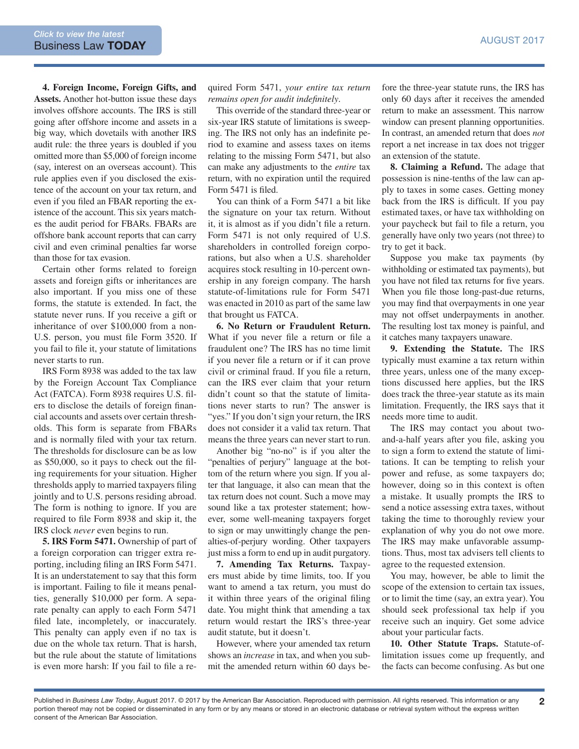**4. Foreign Income, Foreign Gifts, and Assets.** Another hot-button issue these days involves offshore accounts. The IRS is still going after offshore income and assets in a big way, which dovetails with another IRS audit rule: the three years is doubled if you omitted more than \$5,000 of foreign income (say, interest on an overseas account). This rule applies even if you disclosed the existence of the account on your tax return, and even if you filed an FBAR reporting the existence of the account. This six years matches the audit period for FBARs. FBARs are offshore bank account reports that can carry civil and even criminal penalties far worse than those for tax evasion.

Certain other forms related to foreign assets and foreign gifts or inheritances are also important. If you miss one of these forms, the statute is extended. In fact, the statute never runs. If you receive a gift or inheritance of over \$100,000 from a non-U.S. person, you must file Form 3520. If you fail to file it, your statute of limitations never starts to run.

IRS Form 8938 was added to the tax law by the Foreign Account Tax Compliance Act (FATCA). Form 8938 requires U.S. filers to disclose the details of foreign financial accounts and assets over certain thresholds. This form is separate from FBARs and is normally filed with your tax return. The thresholds for disclosure can be as low as \$50,000, so it pays to check out the filing requirements for your situation. Higher thresholds apply to married taxpayers filing jointly and to U.S. persons residing abroad. The form is nothing to ignore. If you are required to file Form 8938 and skip it, the IRS clock *never* even begins to run.

**5. IRS Form 5471.** Ownership of part of a foreign corporation can trigger extra reporting, including filing an IRS Form 5471. It is an understatement to say that this form is important. Failing to file it means penalties, generally \$10,000 per form. A separate penalty can apply to each Form 5471 filed late, incompletely, or inaccurately. This penalty can apply even if no tax is due on the whole tax return. That is harsh, but the rule about the statute of limitations is even more harsh: If you fail to file a required Form 5471, *your entire tax return remains open for audit indefinitely*.

This override of the standard three-year or six-year IRS statute of limitations is sweeping. The IRS not only has an indefinite period to examine and assess taxes on items relating to the missing Form 5471, but also can make any adjustments to the *entire* tax return, with no expiration until the required Form 5471 is filed.

You can think of a Form 5471 a bit like the signature on your tax return. Without it, it is almost as if you didn't file a return. Form 5471 is not only required of U.S. shareholders in controlled foreign corporations, but also when a U.S. shareholder acquires stock resulting in 10-percent ownership in any foreign company. The harsh statute-of-limitations rule for Form 5471 was enacted in 2010 as part of the same law that brought us FATCA.

**6. No Return or Fraudulent Return.**  What if you never file a return or file a fraudulent one? The IRS has no time limit if you never file a return or if it can prove civil or criminal fraud. If you file a return, can the IRS ever claim that your return didn't count so that the statute of limitations never starts to run? The answer is "yes." If you don't sign your return, the IRS does not consider it a valid tax return. That means the three years can never start to run.

Another big "no-no" is if you alter the "penalties of perjury" language at the bottom of the return where you sign. If you alter that language, it also can mean that the tax return does not count. Such a move may sound like a tax protester statement; however, some well-meaning taxpayers forget to sign or may unwittingly change the penalties-of-perjury wording. Other taxpayers just miss a form to end up in audit purgatory.

**7. Amending Tax Returns.** Taxpayers must abide by time limits, too. If you want to amend a tax return, you must do it within three years of the original filing date. You might think that amending a tax return would restart the IRS's three-year audit statute, but it doesn't.

However, where your amended tax return shows an *increase* in tax, and when you submit the amended return within 60 days before the three-year statute runs, the IRS has only 60 days after it receives the amended return to make an assessment. This narrow window can present planning opportunities. In contrast, an amended return that does *not* report a net increase in tax does not trigger an extension of the statute.

**8. Claiming a Refund.** The adage that possession is nine-tenths of the law can apply to taxes in some cases. Getting money back from the IRS is difficult. If you pay estimated taxes, or have tax withholding on your paycheck but fail to file a return, you generally have only two years (not three) to try to get it back.

Suppose you make tax payments (by withholding or estimated tax payments), but you have not filed tax returns for five years. When you file those long-past-due returns, you may find that overpayments in one year may not offset underpayments in another. The resulting lost tax money is painful, and it catches many taxpayers unaware.

**9. Extending the Statute.** The IRS typically must examine a tax return within three years, unless one of the many exceptions discussed here applies, but the IRS does track the three-year statute as its main limitation. Frequently, the IRS says that it needs more time to audit.

The IRS may contact you about twoand-a-half years after you file, asking you to sign a form to extend the statute of limitations. It can be tempting to relish your power and refuse, as some taxpayers do; however, doing so in this context is often a mistake. It usually prompts the IRS to send a notice assessing extra taxes, without taking the time to thoroughly review your explanation of why you do not owe more. The IRS may make unfavorable assumptions. Thus, most tax advisers tell clients to agree to the requested extension.

You may, however, be able to limit the scope of the extension to certain tax issues, or to limit the time (say, an extra year). You should seek professional tax help if you receive such an inquiry. Get some advice about your particular facts.

**10. Other Statute Traps.** Statute-oflimitation issues come up frequently, and the facts can become confusing. As but one

Published in *Business Law Today*, August 2017. © 2017 by the American Bar Association. Reproduced with permission. All rights reserved. This information or any 2 portion thereof may not be copied or disseminated in any form or by any means or stored in an electronic database or retrieval system without the express written consent of the American Bar Association.